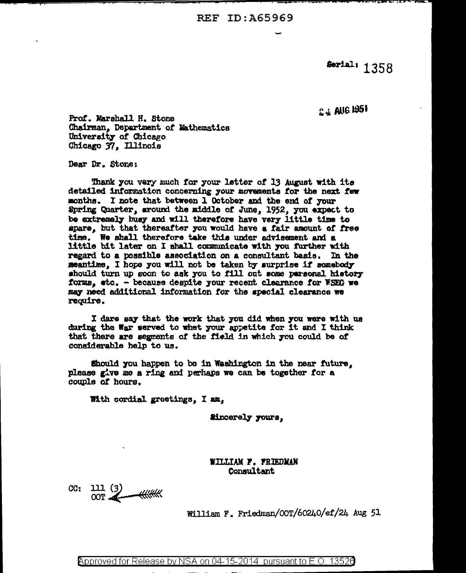Serial: 1358

2.4 AUG 1951

Prof. Marshall H. Stone Chairman. Department of Mathematics University of Chicago Chicago 37, Illinois

Dear Dr. Stone:

Thank you very much for your letter of 13 August with its detailed information concerning your movements for the next few months. I note that between 1 October and the end of your Spring Quarter, around the middle of June. 1952, you expect to be extremely busy and will therefore have very little time to spare, but that thereafter you would have a fair amount of free time. We shall therefore take this under advisement and a little bit later on I shall communicate with you further with regard to a possible association on a consultant basis. In the meantime. I hope you will not be taken by surprise if somebody should turn up soon to ask you to fill out some parsonal history forms, etc. - because despite your recent clearance for WSEG we may need additional information for the special clearance we require.

I dare say that the work that you did when you were with us during the War served to whet your appetite for it and I think that there are segments of the field in which you could be of considerable help to us.

Should you happen to be in Washington in the near future. please give me a ring and perhaps we can be together for a couple of hours.

With cordial greetings. I am.

Sincerely yours.

WILLIAM F. FRIEDMAN Consultant

 $CC: 111(3)$  $OOT$   $\tilde{\mathcal{A}}$ 

William F. Friedman/OOT/60240/ef/24 Aug 51

Approved for Release by NSA on 04-15-2014 pursuant to E.O. 13526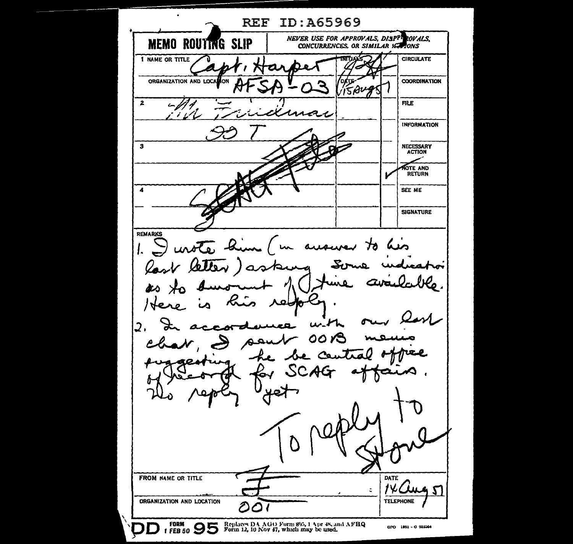**REF ID:A65969** NEVER USE FOR APPROVALS, DISPPIROVALS. **MEMO ROUTING SLIP** CONCURRENCES, OR SIMILAR SCHOONS I NAME OR TITLE **CIRCULATE** ORGANIZATION AND LOCAL **COORDINATION** lом **5AL**  $\overline{2}$ **FILE** una. **INFORMATION** NECESSARY<br>ACTION  $\overline{\mathbf{3}}$ NOTE AND<br>RETURN  $\pmb{A}$ SEE ME **SIGNATURE REMARKS** I unote him 1  $\mathcal{A}$ منكا ausurer ' un I. last letter) as んい  $\overline{\phantom{a}}$ مصر **D** <u>/46</u>  $u$ .  $H$  $\overline{2}$ . 00 ÷ - be central SCAG FROM NAME OR TITLE DATE  $\zeta$ ORGANIZATION AND LOCATION **TELEPHONE** වර FORM 1 FEB 50 3 5 Form 12, 10 Nov 47, which may be used. GPO 1951 - 0 925564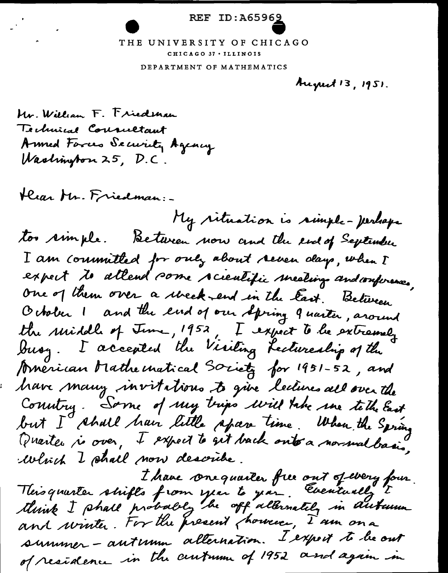## **REF ID:A65969**

## THE UNIVERSITY OF CHICAGO CHICAGO 37 . ILLINOIS

DEPARTMENT OF MATHEMATICS

August 13, 1951.

Mr. William F. Friedman Technical Cournetant Armed Forces Security Agency Washington 25, D.C.

Hear Mr. Friedman:

 $\mathcal{L}(\mathbf{z}|\mathbf{z})$ 

My rituation is simple- perhaps too simple. Between now and the end of September I am committed for only about reven days, when I expect to allend some scientific meetings and conferences, One of them over a week-end in the East. Between October I and the end of our spring 9 norter, around the middle of June, 1952, I expect to be extremely American Mathematical Society for 1951-52, and have many invitations to give lectures all over the Country. Some of my trips will take me teth East but I shall have little spare time. When the Spring Quarter ri over, I expect to get back onto a normal basis, Which I shall now describe.

I have onequailer free out operery four.<br>This quarter shifts from year to you. Eventually to and winter. For the present chancer, I am on a summer - autumn alternation. I export to be out of residence in the centumn of 1952 and again in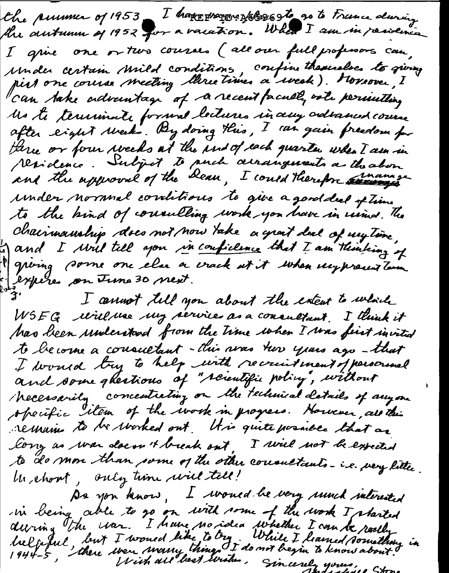the pursue of 1953 I have progress sto go to France during the autumn of 1952 for a vacation. When I am in residence I grue one or two courses (all our full professors can. under certain Mild conditions, confinithemselves to giving Moste terrimate formal lectures in any advanced course after eight weeks By doing this, I can gain preedom for three or four weeks at the ind of each quarter when I am in residence. Subject to puch acrangements a the abon under normal corritions te give a good deel of time to the bind of consulting work you have in usind. The chairmanship does not now take a grant deal of my time. Sand I will tell you in confidence that I am thinking of I griving some one else a crack at it when unpresent term expères on June 30 next. I cannot till you about the extent to which WSEG will use my services as a consultant. I think it has been understood from the time when I was first invited to become a consultant-this was two years ago-that I would try to help with recruitment of personnel and some ghestions of "scientific policy, without Mecessarily concentrating on the technical details of anyone operific item of the work in progress. However, are this remains to be worked out . It is quite possible that as long as was doesn't break out, I will not be expected te de mon than some of the other consultants-i.e. very little. the choset, only time will tell! De you know, I would be very und interested<br>in being able to go on with some of the work I started<br>during the war. I have no idea whether I can be really<br>helfold, but I would like to by. While I hamed something in<br>1944-5,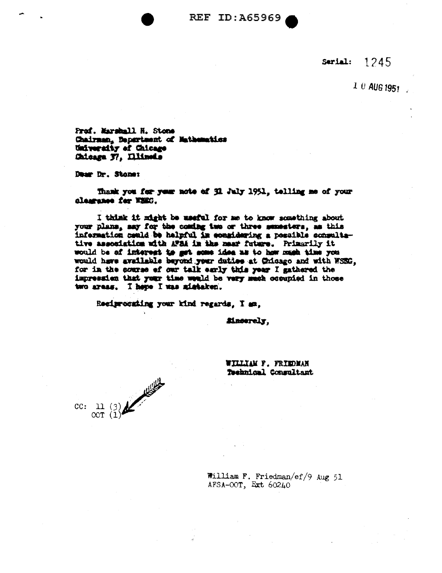**REF ID: A65969** 

Serial:  $1245$ 

 $10$  AUG 1951

Prof. Marshall H. Stone Chairman, Department of Nathematics University of Chicago Chicaga 37, Illinois

Dear Dr. Stone:

Thank you for your note of 31 July 1951, telling me of your alessance for WEEG.

I think it might be meetal for me to know something about your plans, say for the coming two or three semesters, as this information could be helpful in considering a possible consultative association with AFBA in the mear future. Primarily it would be of interest to get some idea as to how much time you would have available beyond your duties at Chicago and with WSEG. for in the sourse of our talk early this year I gathered the impression that your time would be very much occupied in those two areas. I here I was mistaken.

Reciprocating your kind regards. I am.

Macerely.

WILLIAM F. FRIEDMAN Technical Consultant



William F. Friedman/ef/9 Aug 51 AFSA-OOT, Ext  $60240$